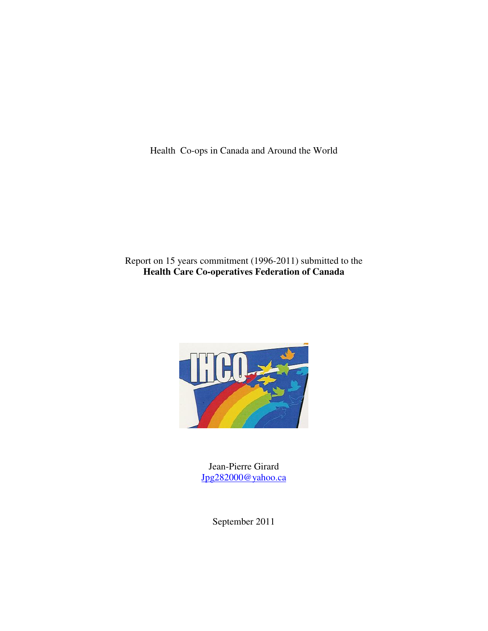Health Co-ops in Canada and Around the World

# Report on 15 years commitment (1996-2011) submitted to the **Health Care Co-operatives Federation of Canada**



Jean-Pierre Girard Jpg282000@yahoo.ca

September 2011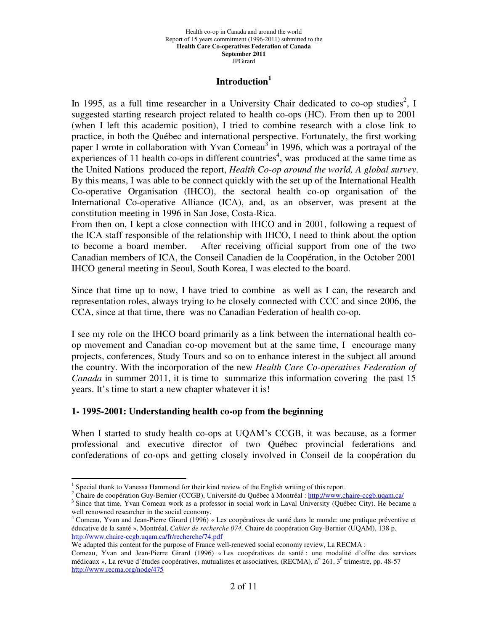### **Introduction<sup>1</sup>**

In 1995, as a full time researcher in a University Chair dedicated to co-op studies<sup>2</sup>, I suggested starting research project related to health co-ops (HC). From then up to 2001 (when I left this academic position), I tried to combine research with a close link to practice, in both the Québec and international perspective. Fortunately, the first working paper I wrote in collaboration with Yvan Comeau<sup>3</sup> in 1996, which was a portrayal of the experiences of 11 health co-ops in different countries<sup>4</sup>, was produced at the same time as the United Nations produced the report, *Health Co-op around the world, A global survey*. By this means, I was able to be connect quickly with the set up of the International Health Co-operative Organisation (IHCO), the sectoral health co-op organisation of the International Co-operative Alliance (ICA), and, as an observer, was present at the constitution meeting in 1996 in San Jose, Costa-Rica.

From then on, I kept a close connection with IHCO and in 2001, following a request of the ICA staff responsible of the relationship with IHCO, I need to think about the option to become a board member. After receiving official support from one of the two Canadian members of ICA, the Conseil Canadien de la Coopération, in the October 2001 IHCO general meeting in Seoul, South Korea, I was elected to the board.

Since that time up to now, I have tried to combine as well as I can, the research and representation roles, always trying to be closely connected with CCC and since 2006, the CCA, since at that time, there was no Canadian Federation of health co-op.

I see my role on the IHCO board primarily as a link between the international health coop movement and Canadian co-op movement but at the same time, I encourage many projects, conferences, Study Tours and so on to enhance interest in the subject all around the country. With the incorporation of the new *Health Care Co-operatives Federation of Canada* in summer 2011, it is time to summarize this information covering the past 15 years. It's time to start a new chapter whatever it is!

## **1- 1995-2001: Understanding health co-op from the beginning**

When I started to study health co-ops at UQAM's CCGB, it was because, as a former professional and executive director of two Québec provincial federations and confederations of co-ops and getting closely involved in Conseil de la coopération du

 $\overline{a}$ 

<sup>2</sup> Chaire de coopération Guy-Bernier (CCGB), Université du Québec à Montréal : http://www.chaire-ccgb.uqam.ca/

<sup>&</sup>lt;sup>1</sup> Special thank to Vanessa Hammond for their kind review of the English writing of this report.

<sup>&</sup>lt;sup>3</sup> Since that time, Yvan Comeau work as a professor in social work in Laval University (Québec City). He became a well renowned researcher in the social economy.

<sup>4</sup> Comeau, Yvan and Jean-Pierre Girard (1996) « Les coopératives de santé dans le monde: une pratique préventive et éducative de la santé », Montréal, *Cahier de recherche 074,* Chaire de coopération Guy-Bernier (UQAM), 138 p. http://www.chaire-ccgb.uqam.ca/fr/recherche/74.pdf

We adapted this content for the purpose of France well-renewed social economy review, La RECMA :

Comeau, Yvan and Jean-Pierre Girard (1996) « Les coopératives de santé : une modalité d'offre des services médicaux », La revue d'études coopératives, mutualistes et associatives, (RECMA), n° 261, 3<sup>è</sup> trimestre, pp. 48-57 http://www.recma.org/node/475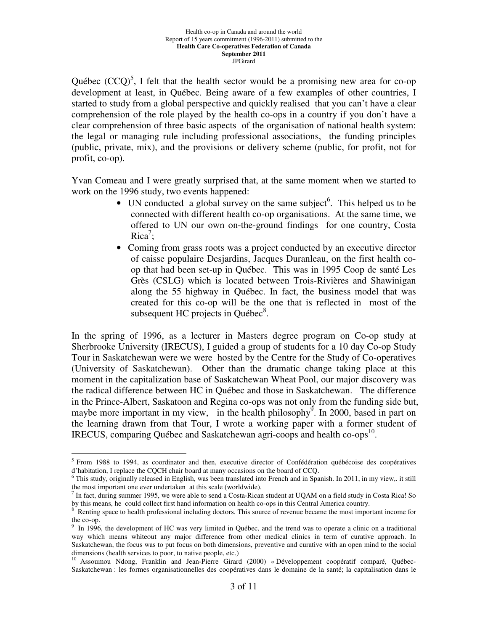Québec  $(CCQ)^5$ , I felt that the health sector would be a promising new area for co-op development at least, in Québec. Being aware of a few examples of other countries, I started to study from a global perspective and quickly realised that you can't have a clear comprehension of the role played by the health co-ops in a country if you don't have a clear comprehension of three basic aspects of the organisation of national health system: the legal or managing rule including professional associations, the funding principles (public, private, mix), and the provisions or delivery scheme (public, for profit, not for profit, co-op).

Yvan Comeau and I were greatly surprised that, at the same moment when we started to work on the 1996 study, two events happened:

- UN conducted a global survey on the same subject<sup>6</sup>. This helped us to be connected with different health co-op organisations. At the same time, we offered to UN our own on-the-ground findings for one country, Costa  $Rica^7;$
- Coming from grass roots was a project conducted by an executive director of caisse populaire Desjardins, Jacques Duranleau, on the first health coop that had been set-up in Québec. This was in 1995 Coop de santé Les Grès (CSLG) which is located between Trois-Rivières and Shawinigan along the 55 highway in Québec. In fact, the business model that was created for this co-op will be the one that is reflected in most of the subsequent HC projects in Québec $\delta$ .

In the spring of 1996, as a lecturer in Masters degree program on Co-op study at Sherbrooke University (IRECUS), I guided a group of students for a 10 day Co-op Study Tour in Saskatchewan were we were hosted by the Centre for the Study of Co-operatives (University of Saskatchewan). Other than the dramatic change taking place at this moment in the capitalization base of Saskatchewan Wheat Pool, our major discovery was the radical difference between HC in Québec and those in Saskatchewan. The difference in the Prince-Albert, Saskatoon and Regina co-ops was not only from the funding side but, maybe more important in my view, in the health philosophy<sup>9</sup>. In 2000, based in part on the learning drawn from that Tour, I wrote a working paper with a former student of IRECUS, comparing Québec and Saskatchewan agri-coops and health co-ops<sup>10</sup>.

<sup>&</sup>lt;sup>5</sup> From 1988 to 1994, as coordinator and then, executive director of Confédération québécoise des coopératives d'habitation, I replace the CQCH chair board at many occasions on the board of CCQ.

 $6$  This study, originally released in English, was been translated into French and in Spanish. In 2011, in my view,. it still the most important one ever undertaken at this scale (worldwide).

 $^7$  In fact, during summer 1995, we were able to send a Costa-Rican student at UQAM on a field study in Costa Rica! So by this means, he could collect first hand information on health co-ops in this Central America country.<br><sup>8</sup> Penting grace to health professional including dectors. This seures of reugnus became the meet impor-

Renting space to health professional including doctors. This source of revenue became the most important income for the co-op.

<sup>&</sup>lt;sup>9</sup> In 1996, the development of HC was very limited in Québec, and the trend was to operate a clinic on a traditional way which means whiteout any major difference from other medical clinics in term of curative approach. In Saskatchewan, the focus was to put focus on both dimensions, preventive and curative with an open mind to the social dimensions (health services to poor, to native people, etc.)

<sup>&</sup>lt;sup>10</sup> Assoumou Ndong, Franklin and Jean-Pierre Girard (2000) « Développement coopératif comparé, Québec-Saskatchewan : les formes organisationnelles des coopératives dans le domaine de la santé; la capitalisation dans le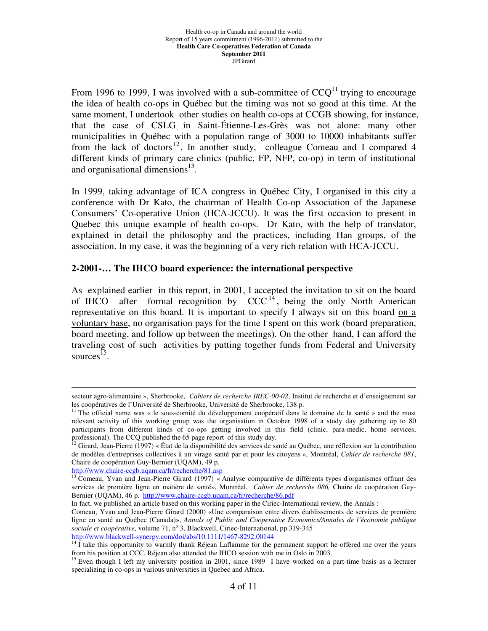From 1996 to 1999, I was involved with a sub-committee of  $CCQ<sup>11</sup>$  trying to encourage the idea of health co-ops in Québec but the timing was not so good at this time. At the same moment, I undertook other studies on health co-ops at CCGB showing, for instance, that the case of CSLG in Saint-Étienne-Les-Grès was not alone: many other municipalities in Québec with a population range of 3000 to 10000 inhabitants suffer from the lack of doctors<sup>12</sup>. In another study, colleague Comeau and I compared 4 different kinds of primary care clinics (public, FP, NFP, co-op) in term of institutional and organisational dimensions<sup>13</sup>.

In 1999, taking advantage of ICA congress in Québec City, I organised in this city a conference with Dr Kato, the chairman of Health Co-op Association of the Japanese Consumers' Co-operative Union (HCA-JCCU). It was the first occasion to present in Quebec this unique example of health co-ops. Dr Kato, with the help of translator, explained in detail the philosophy and the practices, including Han groups, of the association. In my case, it was the beginning of a very rich relation with HCA-JCCU.

#### **2-2001-… The IHCO board experience: the international perspective**

As explained earlier in this report, in 2001, I accepted the invitation to sit on the board of IHCO after formal recognition by  $CCC<sup>14</sup>$ , being the only North American representative on this board. It is important to specify I always sit on this board on a voluntary base, no organisation pays for the time I spent on this work (board preparation, board meeting, and follow up between the meetings). On the other hand, I can afford the traveling cost of such activities by putting together funds from Federal and University sources<sup> $15$ </sup>.

http://www.chaire-ccgb.uqam.ca/fr/recherche/81.asp

<u>.</u>

In fact, we published an article based on this working paper in the Ciriec-International review, the Annals :

secteur agro-alimentaire », Sherbrooke, *Cahiers de recherche IREC-00-02*, Institut de recherche et d'enseignement sur les coopératives de l'Université de Sherbrooke, Université de Sherbrooke, 138 p.

<sup>&</sup>lt;sup>11</sup> The official name was « le sous-comité du développement coopératif dans le domaine de la santé » and the most relevant activity of this working group was the organisation in October 1998 of a study day gathering up to 80 participants from different kinds of co-ops getting involved in this field (clinic, para-medic, home services, professional). The CCQ published the 65 page report of this study day.

<sup>&</sup>lt;sup>12</sup> Girard, Jean-Pierre (1997) « État de la disponibilité des services de santé au Québec, une réflexion sur la contribution de modèles d'entreprises collectives à un virage santé par et pour les citoyens », Montréal, *Cahier de recherche 081*, Chaire de coopération Guy-Bernier (UQAM), 49 p.

<sup>&</sup>lt;sup>13</sup> Comeau, Yvan and Jean-Pierre Girard (1997) « Analyse comparative de différents types d'organismes offrant des services de première ligne en matière de santé», Montréal, *Cahier de recherche 086,* Chaire de coopération Guy-Bernier (UQAM), 46 p. http://www.chaire-ccgb.uqam.ca/fr/recherche/86.pdf

Comeau, Yvan and Jean-Pierre Girard (2000) «Une comparaison entre divers établissements de services de première ligne en santé au Québec (Canada)», *Annals of Public and Cooperative Economics/Annales de l'économie publique*  sociale et coopérative, volume 71, nº 3, Blackwell, Ciriec-International, pp.319-345 http://www.blackwell-synergy.com/doi/abs/10.1111/1467-8292.00144

 $14$  I take this opportunity to warmly thank Réjean Laflamme for the permanent support he offered me over the years from his position at CCC. Réjean also attended the IHCO session with me in Oslo in 2003.

<sup>&</sup>lt;sup>15</sup> Even though I left my university position in 2001, since 1989 I have worked on a part-time basis as a lecturer specializing in co-ops in various universities in Quebec and Africa.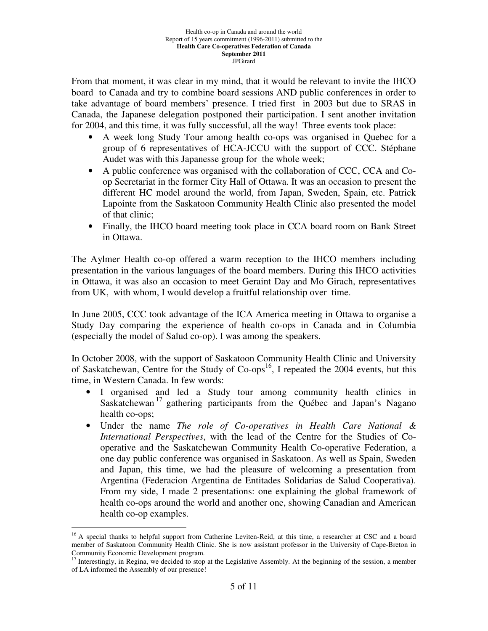From that moment, it was clear in my mind, that it would be relevant to invite the IHCO board to Canada and try to combine board sessions AND public conferences in order to take advantage of board members' presence. I tried first in 2003 but due to SRAS in Canada, the Japanese delegation postponed their participation. I sent another invitation for 2004, and this time, it was fully successful, all the way! Three events took place:

- A week long Study Tour among health co-ops was organised in Quebec for a group of 6 representatives of HCA-JCCU with the support of CCC. Stéphane Audet was with this Japanesse group for the whole week;
- A public conference was organised with the collaboration of CCC, CCA and Coop Secretariat in the former City Hall of Ottawa. It was an occasion to present the different HC model around the world, from Japan, Sweden, Spain, etc. Patrick Lapointe from the Saskatoon Community Health Clinic also presented the model of that clinic;
- Finally, the IHCO board meeting took place in CCA board room on Bank Street in Ottawa.

The Aylmer Health co-op offered a warm reception to the IHCO members including presentation in the various languages of the board members. During this IHCO activities in Ottawa, it was also an occasion to meet Geraint Day and Mo Girach, representatives from UK, with whom, I would develop a fruitful relationship over time.

In June 2005, CCC took advantage of the ICA America meeting in Ottawa to organise a Study Day comparing the experience of health co-ops in Canada and in Columbia (especially the model of Salud co-op). I was among the speakers.

In October 2008, with the support of Saskatoon Community Health Clinic and University of Saskatchewan, Centre for the Study of  $Co-ops^{16}$ , I repeated the 2004 events, but this time, in Western Canada. In few words:

- I organised and led a Study tour among community health clinics in Saskatchewan<sup>17</sup> gathering participants from the Québec and Japan's Nagano health co-ops;
- Under the name *The role of Co-operatives in Health Care National & International Perspectives*, with the lead of the Centre for the Studies of Cooperative and the Saskatchewan Community Health Co-operative Federation, a one day public conference was organised in Saskatoon. As well as Spain, Sweden and Japan, this time, we had the pleasure of welcoming a presentation from Argentina (Federacion Argentina de Entitades Solidarias de Salud Cooperativa). From my side, I made 2 presentations: one explaining the global framework of health co-ops around the world and another one, showing Canadian and American health co-op examples.

<sup>&</sup>lt;sup>16</sup> A special thanks to helpful support from Catherine Leviten-Reid, at this time, a researcher at CSC and a board member of Saskatoon Community Health Clinic. She is now assistant professor in the University of Cape-Breton in Community Economic Development program.

<sup>&</sup>lt;sup>17</sup> Interestingly, in Regina, we decided to stop at the Legislative Assembly. At the beginning of the session, a member of LA informed the Assembly of our presence!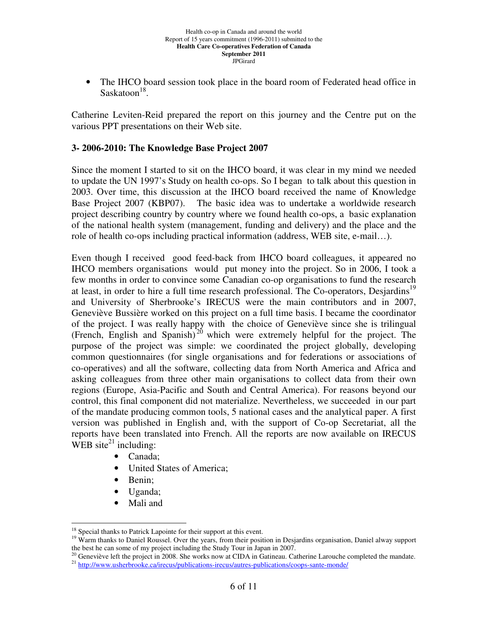• The IHCO board session took place in the board room of Federated head office in Saskatoon<sup>18</sup>.

Catherine Leviten-Reid prepared the report on this journey and the Centre put on the various PPT presentations on their Web site.

## **3- 2006-2010: The Knowledge Base Project 2007**

Since the moment I started to sit on the IHCO board, it was clear in my mind we needed to update the UN 1997's Study on health co-ops. So I began to talk about this question in 2003. Over time, this discussion at the IHCO board received the name of Knowledge Base Project 2007 (KBP07). The basic idea was to undertake a worldwide research project describing country by country where we found health co-ops, a basic explanation of the national health system (management, funding and delivery) and the place and the role of health co-ops including practical information (address, WEB site, e-mail…).

Even though I received good feed-back from IHCO board colleagues, it appeared no IHCO members organisations would put money into the project. So in 2006, I took a few months in order to convince some Canadian co-op organisations to fund the research at least, in order to hire a full time research professional. The Co-operators, Desjardins<sup>19</sup> and University of Sherbrooke's IRECUS were the main contributors and in 2007, Geneviève Bussière worked on this project on a full time basis. I became the coordinator of the project. I was really happy with the choice of Geneviève since she is trilingual (French, English and Spanish)<sup>20</sup> which were extremely helpful for the project. The purpose of the project was simple: we coordinated the project globally, developing common questionnaires (for single organisations and for federations or associations of co-operatives) and all the software, collecting data from North America and Africa and asking colleagues from three other main organisations to collect data from their own regions (Europe, Asia-Pacific and South and Central America). For reasons beyond our control, this final component did not materialize. Nevertheless, we succeeded in our part of the mandate producing common tools, 5 national cases and the analytical paper. A first version was published in English and, with the support of Co-op Secretariat, all the reports have been translated into French. All the reports are now available on IRECUS WEB site<sup>21</sup> including:

- Canada;
- United States of America;
- Benin;
- Uganda;
- Mali and

<sup>&</sup>lt;sup>18</sup> Special thanks to Patrick Lapointe for their support at this event.

<sup>&</sup>lt;sup>19</sup> Warm thanks to Daniel Roussel. Over the years, from their position in Desjardins organisation, Daniel alway support the best he can some of my project including the Study Tour in Japan in 2007.

 $^{20}$  Geneviève left the project in 2008. She works now at CIDA in Gatineau. Catherine Larouche completed the mandate. <sup>21</sup> http://www.usherbrooke.ca/irecus/publications-irecus/autres-publications/coops-sante-monde/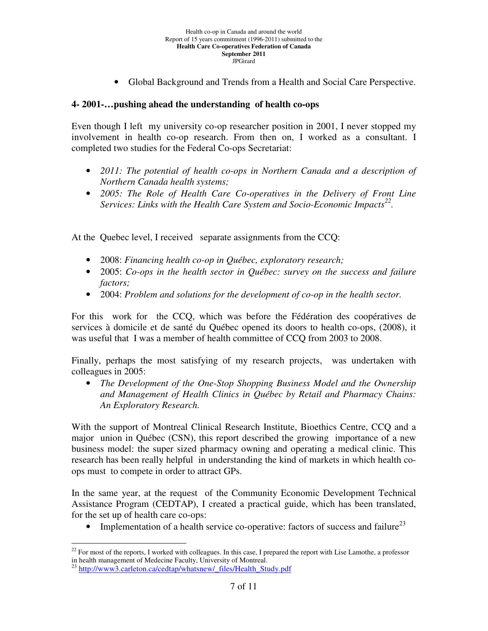• Global Background and Trends from a Health and Social Care Perspective.

### **4- 2001-…pushing ahead the understanding of health co-ops**

Even though I left my university co-op researcher position in 2001, I never stopped my involvement in health co-op research. From then on, I worked as a consultant. I completed two studies for the Federal Co-ops Secretariat:

- *2011: The potential of health co-ops in Northern Canada and a description of Northern Canada health systems;*
- *2005: The Role of Health Care Co-operatives in the Delivery of Front Line Services: Links with the Health Care System and Socio-Economic Impacts<sup>22</sup> .*

At the Quebec level, I received separate assignments from the CCQ:

- 2008: *Financing health co-op in Québec, exploratory research;*
- 2005: *Co-ops in the health sector in Québec: survey on the success and failure factors;*
- 2004: *Problem and solutions for the development of co-op in the health sector.*

For this work for the CCQ, which was before the Fédération des coopératives de services à domicile et de santé du Québec opened its doors to health co-ops, (2008), it was useful that I was a member of health committee of CCQ from 2003 to 2008.

Finally, perhaps the most satisfying of my research projects, was undertaken with colleagues in 2005:

• *The Development of the One-Stop Shopping Business Model and the Ownership and Management of Health Clinics in Québec by Retail and Pharmacy Chains: An Exploratory Research.*

With the support of Montreal Clinical Research Institute, Bioethics Centre, CCQ and a major union in Québec (CSN), this report described the growing importance of a new business model: the super sized pharmacy owning and operating a medical clinic. This research has been really helpful in understanding the kind of markets in which health coops must to compete in order to attract GPs.

In the same year, at the request of the Community Economic Development Technical Assistance Program (CEDTAP), I created a practical guide, which has been translated, for the set up of health care co-ops:

• Implementation of a health service co-operative: factors of success and failure<sup>23</sup>

 $22$  For most of the reports, I worked with colleagues. In this case, I prepared the report with Lise Lamothe, a professor in health management of Medecine Faculty, University of Montreal.

<sup>&</sup>lt;sup>23</sup> http://www3.carleton.ca/cedtap/whatsnew/\_files/Health\_Study.pdf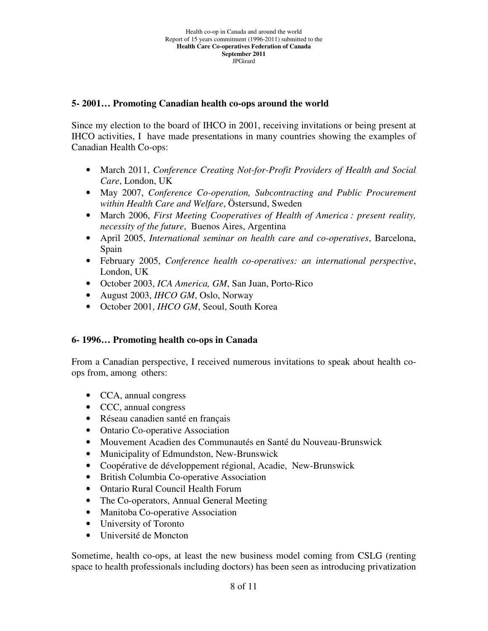## **5- 2001… Promoting Canadian health co-ops around the world**

Since my election to the board of IHCO in 2001, receiving invitations or being present at IHCO activities, I have made presentations in many countries showing the examples of Canadian Health Co-ops:

- March 2011, *Conference Creating Not-for-Profit Providers of Health and Social Care*, London, UK
- May 2007, *Conference Co-operation, Subcontracting and Public Procurement within Health Care and Welfare*, Östersund, Sweden
- March 2006, *First Meeting Cooperatives of Health of America : present reality, necessity of the future*, Buenos Aires, Argentina
- April 2005, *International seminar on health care and co-operatives*, Barcelona, Spain
- February 2005, *Conference health co-operatives: an international perspective*, London, UK
- October 2003, *ICA America, GM*, San Juan, Porto-Rico
- August 2003, *IHCO GM*, Oslo, Norway
- October 2001, *IHCO GM*, Seoul, South Korea

# **6- 1996… Promoting health co-ops in Canada**

From a Canadian perspective, I received numerous invitations to speak about health coops from, among others:

- CCA, annual congress
- CCC, annual congress
- Réseau canadien santé en français
- Ontario Co-operative Association
- Mouvement Acadien des Communautés en Santé du Nouveau-Brunswick
- Municipality of Edmundston, New-Brunswick
- Coopérative de développement régional, Acadie, New-Brunswick
- British Columbia Co-operative Association
- Ontario Rural Council Health Forum
- The Co-operators, Annual General Meeting
- Manitoba Co-operative Association
- University of Toronto
- Université de Moncton

Sometime, health co-ops, at least the new business model coming from CSLG (renting space to health professionals including doctors) has been seen as introducing privatization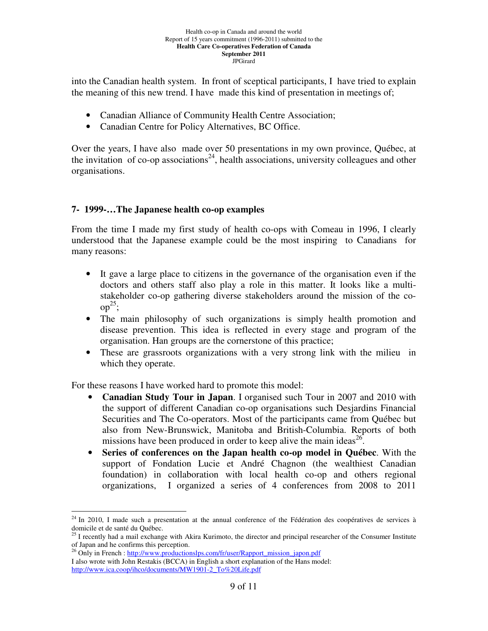#### Health co-op in Canada and around the world Report of 15 years commitment (1996-2011) submitted to the **Health Care Co-operatives Federation of Canada September 2011**  JPGirard

into the Canadian health system. In front of sceptical participants, I have tried to explain the meaning of this new trend. I have made this kind of presentation in meetings of;

- Canadian Alliance of Community Health Centre Association;
- Canadian Centre for Policy Alternatives, BC Office.

Over the years, I have also made over 50 presentations in my own province, Québec, at the invitation of co-op associations<sup>24</sup>, health associations, university colleagues and other organisations.

## **7- 1999-…The Japanese health co-op examples**

From the time I made my first study of health co-ops with Comeau in 1996, I clearly understood that the Japanese example could be the most inspiring to Canadians for many reasons:

- It gave a large place to citizens in the governance of the organisation even if the doctors and others staff also play a role in this matter. It looks like a multistakeholder co-op gathering diverse stakeholders around the mission of the co $op<sup>25</sup>$ ;
- The main philosophy of such organizations is simply health promotion and disease prevention. This idea is reflected in every stage and program of the organisation. Han groups are the cornerstone of this practice;
- These are grassroots organizations with a very strong link with the milieu in which they operate.

For these reasons I have worked hard to promote this model:

- **Canadian Study Tour in Japan**. I organised such Tour in 2007 and 2010 with the support of different Canadian co-op organisations such Desjardins Financial Securities and The Co-operators. Most of the participants came from Québec but also from New-Brunswick, Manitoba and British-Columbia. Reports of both missions have been produced in order to keep alive the main ideas<sup>26</sup>.
- **Series of conferences on the Japan health co-op model in Québec**. With the support of Fondation Lucie et André Chagnon (the wealthiest Canadian foundation) in collaboration with local health co-op and others regional organizations, I organized a series of 4 conferences from 2008 to 2011

 $24$  In 2010, I made such a presentation at the annual conference of the Fédération des coopératives de services à domicile et de santé du Québec.

 $^{25}$  I recently had a mail exchange with Akira Kurimoto, the director and principal researcher of the Consumer Institute of Japan and he confirms this perception.

<sup>&</sup>lt;sup>26</sup> Only in French : http://www.productionslps.com/fr/user/Rapport\_mission\_japon.pdf I also wrote with John Restakis (BCCA) in English a short explanation of the Hans model: http://www.ica.coop/ihco/documents/MW1901-2\_To%20Life.pdf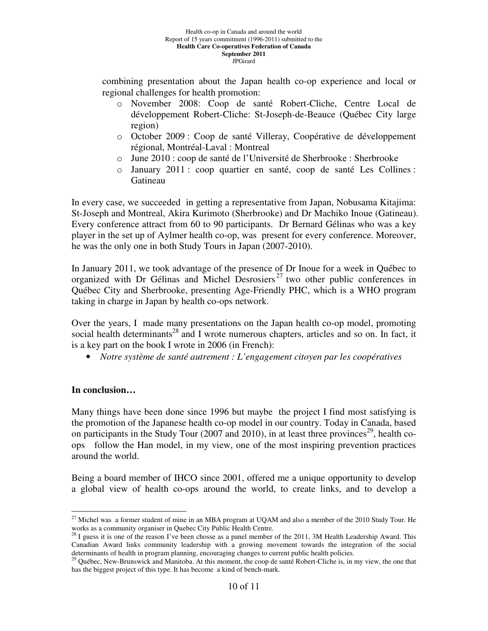combining presentation about the Japan health co-op experience and local or regional challenges for health promotion:

- o November 2008: Coop de santé Robert-Cliche, Centre Local de développement Robert-Cliche: St-Joseph-de-Beauce (Québec City large region)
- o October 2009 : Coop de santé Villeray, Coopérative de développement régional, Montréal-Laval : Montreal
- o June 2010 : coop de santé de l'Université de Sherbrooke : Sherbrooke
- o January 2011 : coop quartier en santé, coop de santé Les Collines : Gatineau

In every case, we succeeded in getting a representative from Japan, Nobusama Kitajima: St-Joseph and Montreal, Akira Kurimoto (Sherbrooke) and Dr Machiko Inoue (Gatineau). Every conference attract from 60 to 90 participants. Dr Bernard Gélinas who was a key player in the set up of Aylmer health co-op, was present for every conference. Moreover, he was the only one in both Study Tours in Japan (2007-2010).

In January 2011, we took advantage of the presence of Dr Inoue for a week in Québec to organized with Dr Gélinas and Michel Desrosiers<sup>27</sup> two other public conferences in Québec City and Sherbrooke, presenting Age-Friendly PHC, which is a WHO program taking in charge in Japan by health co-ops network.

Over the years, I made many presentations on the Japan health co-op model, promoting social health determinants<sup>28</sup> and I wrote numerous chapters, articles and so on. In fact, it is a key part on the book I wrote in 2006 (in French):

• *Notre système de santé autrement : L'engagement citoyen par les coopératives*

# **In conclusion…**

Many things have been done since 1996 but maybe the project I find most satisfying is the promotion of the Japanese health co-op model in our country. Today in Canada, based on participants in the Study Tour (2007 and 2010), in at least three provinces<sup>29</sup>, health coops follow the Han model, in my view, one of the most inspiring prevention practices around the world.

Being a board member of IHCO since 2001, offered me a unique opportunity to develop a global view of health co-ops around the world, to create links, and to develop a

 $\overline{a}$  $^{27}$  Michel was a former student of mine in an MBA program at UQAM and also a member of the 2010 Study Tour. He works as a community organiser in Quebec City Public Health Centre.

 $^{28}$  I guess it is one of the reason I've been chosse as a panel member of the 2011, 3M Health Leadership Award. This Canadian Award links community leadership with a growing movement towards the integration of the social determinants of health in program planning, encouraging changes to current public health policies.

<sup>&</sup>lt;sup>29</sup> Québec, New-Brunswick and Manitoba. At this moment, the coop de santé Robert-Cliche is, in my view, the one that has the biggest project of this type. It has become a kind of bench-mark.